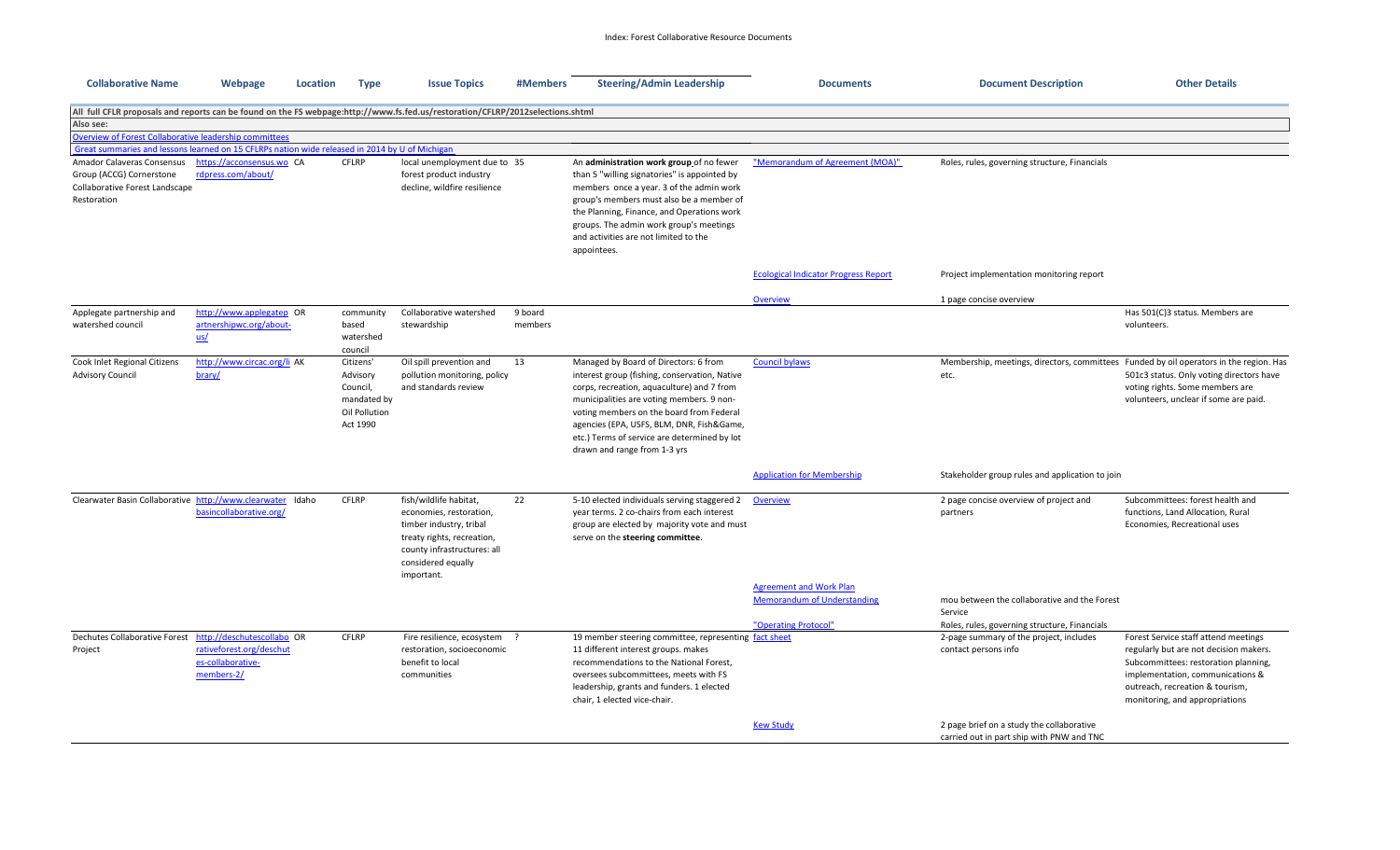| <b>Collaborative Name</b>                                                                                                      | Webpage                                                                                   | Location | <b>Type</b>                                                                   | <b>Issue Topics</b>                                                                                                                                                           | #Members           | <b>Steering/Admin Leadership</b>                                                                                                                                                                                                                                                                                                                           | <b>Documents</b>                                                                             | <b>Document Description</b>                                                                              | <b>Other Details</b>                                                                                                                                                                                                            |  |
|--------------------------------------------------------------------------------------------------------------------------------|-------------------------------------------------------------------------------------------|----------|-------------------------------------------------------------------------------|-------------------------------------------------------------------------------------------------------------------------------------------------------------------------------|--------------------|------------------------------------------------------------------------------------------------------------------------------------------------------------------------------------------------------------------------------------------------------------------------------------------------------------------------------------------------------------|----------------------------------------------------------------------------------------------|----------------------------------------------------------------------------------------------------------|---------------------------------------------------------------------------------------------------------------------------------------------------------------------------------------------------------------------------------|--|
| All full CFLR proposals and reports can be found on the FS webpage:http://www.fs.fed.us/restoration/CFLRP/2012selections.shtml |                                                                                           |          |                                                                               |                                                                                                                                                                               |                    |                                                                                                                                                                                                                                                                                                                                                            |                                                                                              |                                                                                                          |                                                                                                                                                                                                                                 |  |
| Also see:                                                                                                                      |                                                                                           |          |                                                                               |                                                                                                                                                                               |                    |                                                                                                                                                                                                                                                                                                                                                            |                                                                                              |                                                                                                          |                                                                                                                                                                                                                                 |  |
| Overview of Forest Collaborative leadership committees                                                                         |                                                                                           |          |                                                                               |                                                                                                                                                                               |                    |                                                                                                                                                                                                                                                                                                                                                            |                                                                                              |                                                                                                          |                                                                                                                                                                                                                                 |  |
| Great summaries and lessons learned on 15 CFLRPs nation wide released in 2014 by U of Michigan                                 |                                                                                           |          |                                                                               |                                                                                                                                                                               |                    |                                                                                                                                                                                                                                                                                                                                                            |                                                                                              |                                                                                                          |                                                                                                                                                                                                                                 |  |
| Amador Calaveras Consensus<br>Group (ACCG) Cornerstone<br>Collaborative Forest Landscape<br>Restoration                        | https://acconsensus.wo CA<br>rdpress.com/about/                                           |          | <b>CFLRP</b>                                                                  | local unemployment due to 35<br>forest product industry<br>decline, wildfire resilience                                                                                       |                    | An administration work group of no fewer<br>than 5 "willing signatories" is appointed by<br>members once a year. 3 of the admin work<br>group's members must also be a member of<br>the Planning, Finance, and Operations work<br>groups. The admin work group's meetings<br>and activities are not limited to the<br>appointees.                          | "Memorandum of Agreement (MOA)"                                                              | Roles, rules, governing structure, Financials                                                            |                                                                                                                                                                                                                                 |  |
|                                                                                                                                |                                                                                           |          |                                                                               |                                                                                                                                                                               |                    |                                                                                                                                                                                                                                                                                                                                                            | <b>Ecological Indicator Progress Report</b>                                                  | Project implementation monitoring report                                                                 |                                                                                                                                                                                                                                 |  |
|                                                                                                                                |                                                                                           |          |                                                                               |                                                                                                                                                                               |                    |                                                                                                                                                                                                                                                                                                                                                            | Overview                                                                                     | 1 page concise overview                                                                                  |                                                                                                                                                                                                                                 |  |
| Applegate partnership and<br>watershed council                                                                                 | http://www.applegatep OR<br>artnershipwc.org/about-<br>us/                                |          | community<br>based<br>watershed<br>council                                    | Collaborative watershed<br>stewardship                                                                                                                                        | 9 board<br>members |                                                                                                                                                                                                                                                                                                                                                            |                                                                                              |                                                                                                          | Has 501(C)3 status. Members are<br>volunteers.                                                                                                                                                                                  |  |
| Cook Inlet Regional Citizens<br><b>Advisory Council</b>                                                                        | http://www.circac.org/li AK<br>brary/                                                     |          | Citizens'<br>Advisory<br>Council,<br>mandated by<br>Oil Pollution<br>Act 1990 | Oil spill prevention and<br>pollution monitoring, policy<br>and standards review                                                                                              | 13                 | Managed by Board of Directors: 6 from<br>interest group (fishing, conservation, Native<br>corps, recreation, aquaculture) and 7 from<br>municipalities are voting members. 9 non-<br>voting members on the board from Federal<br>agencies (EPA, USFS, BLM, DNR, Fish&Game,<br>etc.) Terms of service are determined by lot<br>drawn and range from 1-3 yrs | <b>Council bylaws</b>                                                                        | Membership, meetings, directors, committees Funded by oil operators in the region. Has<br>etc.           | 501c3 status. Only voting directors have<br>voting rights. Some members are<br>volunteers, unclear if some are paid.                                                                                                            |  |
|                                                                                                                                |                                                                                           |          |                                                                               |                                                                                                                                                                               |                    |                                                                                                                                                                                                                                                                                                                                                            | <b>Application for Membership</b>                                                            | Stakeholder group rules and application to join                                                          |                                                                                                                                                                                                                                 |  |
| Clearwater Basin Collaborative http://www.clearwater Idaho                                                                     | basincollaborative.org/                                                                   |          | <b>CFLRP</b>                                                                  | fish/wildlife habitat,<br>economies, restoration,<br>timber industry, tribal<br>treaty rights, recreation,<br>county infrastructures: all<br>considered equally<br>important. | 22                 | 5-10 elected individuals serving staggered 2<br>year terms. 2 co-chairs from each interest<br>group are elected by majority vote and must<br>serve on the steering committee.                                                                                                                                                                              | Overview                                                                                     | 2 page concise overview of project and<br>partners                                                       | Subcommittees: forest health and<br>functions, Land Allocation, Rural<br>Economies, Recreational uses                                                                                                                           |  |
|                                                                                                                                |                                                                                           |          |                                                                               |                                                                                                                                                                               |                    |                                                                                                                                                                                                                                                                                                                                                            | <b>Agreement and Work Plan</b><br><b>Memorandum of Understanding</b><br>"Operating Protocol" | mou between the collaborative and the Forest<br>Service<br>Roles, rules, governing structure, Financials |                                                                                                                                                                                                                                 |  |
| Dechutes Collaborative Forest<br>Project                                                                                       | http://deschutescollabo OR<br>rativeforest.org/deschut<br>es-collaborative-<br>members-2/ |          | <b>CFLRP</b>                                                                  | Fire resilience, ecosystem ?<br>restoration, socioeconomic<br>benefit to local<br>communities                                                                                 |                    | 19 member steering committee, representing fact sheet<br>11 different interest groups. makes<br>recommendations to the National Forest,<br>oversees subcommittees, meets with FS<br>leadership, grants and funders. 1 elected<br>chair, 1 elected vice-chair.                                                                                              |                                                                                              | 2-page summary of the project, includes<br>contact persons info                                          | Forest Service staff attend meetings<br>regularly but are not decision makers.<br>Subcommittees: restoration planning,<br>implementation, communications &<br>outreach, recreation & tourism,<br>monitoring, and appropriations |  |
|                                                                                                                                |                                                                                           |          |                                                                               |                                                                                                                                                                               |                    |                                                                                                                                                                                                                                                                                                                                                            | <b>Kew Study</b>                                                                             | 2 page brief on a study the collaborative<br>carried out in part ship with PNW and TNC                   |                                                                                                                                                                                                                                 |  |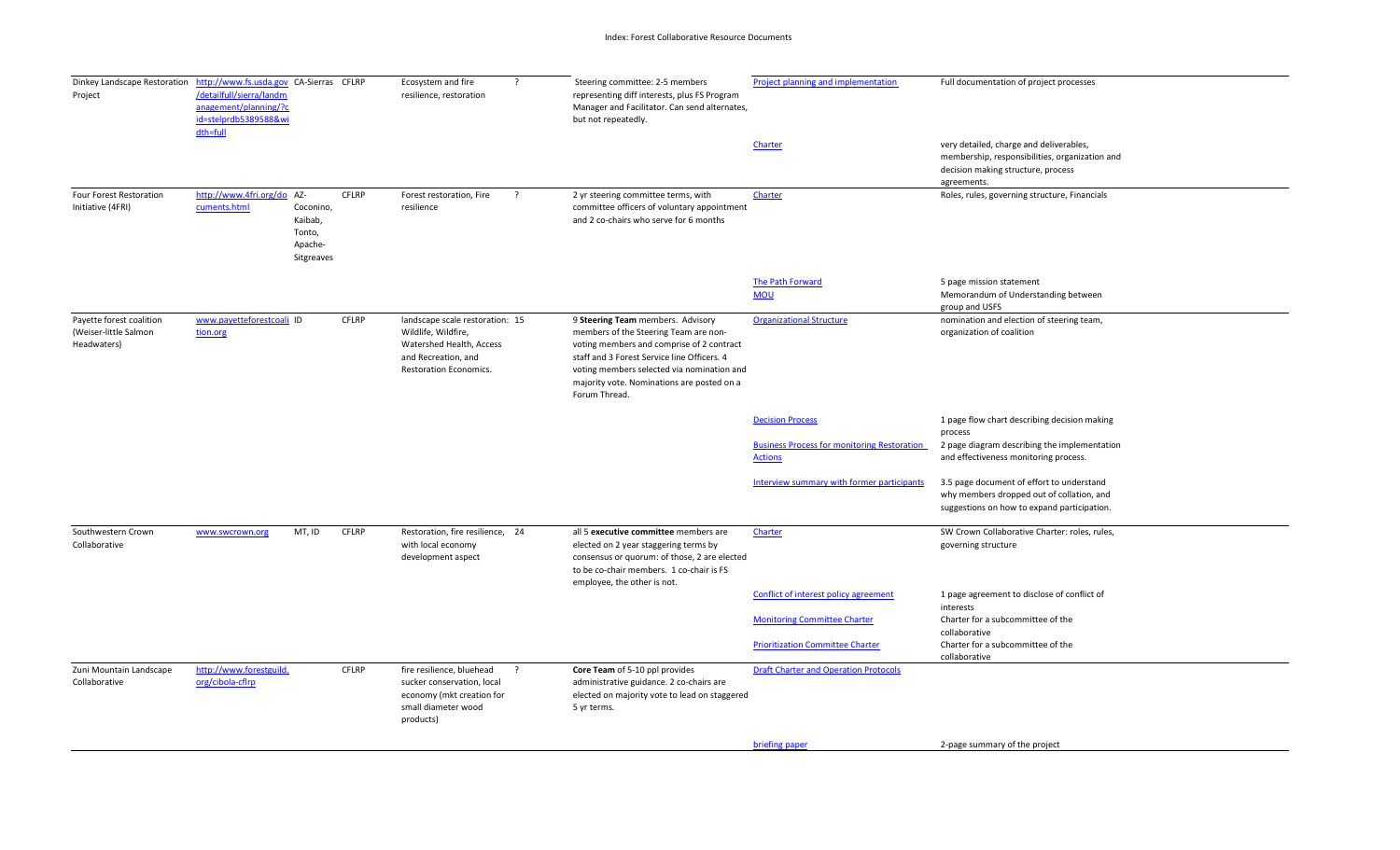| Dinkey Landscape Restoration http://www.fs.usda.gov CA-Sierras CFLRP<br>Project | /detailfull/sierra/landm<br>anagement/planning/?c<br>id=stelprdb5389588&wi<br>dth=full |                                                         |              | Ecosystem and fire<br>resilience, restoration                                                                                              | $\cdot$ | Steering committee: 2-5 members<br>representing diff interests, plus FS Program<br>Manager and Facilitator. Can send alternates,<br>but not repeatedly.                                                                                                                             | Project planning and implementation                                  | Full documentation of project processes                                                                                                        |
|---------------------------------------------------------------------------------|----------------------------------------------------------------------------------------|---------------------------------------------------------|--------------|--------------------------------------------------------------------------------------------------------------------------------------------|---------|-------------------------------------------------------------------------------------------------------------------------------------------------------------------------------------------------------------------------------------------------------------------------------------|----------------------------------------------------------------------|------------------------------------------------------------------------------------------------------------------------------------------------|
|                                                                                 |                                                                                        |                                                         |              |                                                                                                                                            |         |                                                                                                                                                                                                                                                                                     | Charter                                                              | very detailed, charge and deliverables,<br>membership, responsibilities, organization and<br>decision making structure, process<br>agreements. |
| Four Forest Restoration<br>Initiative (4FRI)                                    | http://www.4fri.org/do AZ-<br>cuments.html                                             | Coconino,<br>Kaibab,<br>Tonto,<br>Apache-<br>Sitgreaves | <b>CFLRP</b> | Forest restoration, Fire<br>resilience                                                                                                     | $\cdot$ | 2 yr steering committee terms, with<br>committee officers of voluntary appointment<br>and 2 co-chairs who serve for 6 months                                                                                                                                                        | Charter                                                              | Roles, rules, governing structure, Financials                                                                                                  |
|                                                                                 |                                                                                        |                                                         |              |                                                                                                                                            |         |                                                                                                                                                                                                                                                                                     | The Path Forward<br><b>MOU</b>                                       | 5 page mission statement<br>Memorandum of Understanding between                                                                                |
| Payette forest coalition<br>(Weiser-little Salmon<br>Headwaters)                | www.payetteforestcoali ID<br>tion.org                                                  |                                                         | <b>CFLRP</b> | landscape scale restoration: 15<br>Wildlife, Wildfire,<br>Watershed Health, Access<br>and Recreation, and<br><b>Restoration Economics.</b> |         | 9 Steering Team members. Advisory<br>members of the Steering Team are non-<br>voting members and comprise of 2 contract<br>staff and 3 Forest Service line Officers. 4<br>voting members selected via nomination and<br>majority vote. Nominations are posted on a<br>Forum Thread. | <b>Organizational Structure</b>                                      | group and USFS<br>nomination and election of steering team,<br>organization of coalition                                                       |
|                                                                                 |                                                                                        |                                                         |              |                                                                                                                                            |         |                                                                                                                                                                                                                                                                                     | <b>Decision Process</b>                                              | 1 page flow chart describing decision making<br>process                                                                                        |
|                                                                                 |                                                                                        |                                                         |              |                                                                                                                                            |         |                                                                                                                                                                                                                                                                                     | <b>Business Process for monitoring Restoration</b><br><b>Actions</b> | 2 page diagram describing the implementation<br>and effectiveness monitoring process.                                                          |
|                                                                                 |                                                                                        |                                                         |              |                                                                                                                                            |         |                                                                                                                                                                                                                                                                                     | Interview summary with former participants                           | 3.5 page document of effort to understand<br>why members dropped out of collation, and<br>suggestions on how to expand participation.          |
| Southwestern Crown<br>Collaborative                                             | www.swcrown.org                                                                        | MT, ID                                                  | CFLRP        | Restoration, fire resilience, 24<br>with local economy<br>development aspect                                                               |         | all 5 executive committee members are<br>elected on 2 year staggering terms by<br>consensus or quorum: of those, 2 are elected<br>to be co-chair members. 1 co-chair is FS<br>employee, the other is not.                                                                           | Charter                                                              | SW Crown Collaborative Charter: roles, rules,<br>governing structure                                                                           |
|                                                                                 |                                                                                        |                                                         |              |                                                                                                                                            |         |                                                                                                                                                                                                                                                                                     | Conflict of interest policy agreement                                | 1 page agreement to disclose of conflict of<br>interests                                                                                       |
|                                                                                 |                                                                                        |                                                         |              |                                                                                                                                            |         |                                                                                                                                                                                                                                                                                     | <b>Monitoring Committee Charter</b>                                  | Charter for a subcommittee of the<br>collaborative                                                                                             |
|                                                                                 |                                                                                        |                                                         |              |                                                                                                                                            |         |                                                                                                                                                                                                                                                                                     | <b>Prioritization Committee Charter</b>                              | Charter for a subcommittee of the<br>collaborative                                                                                             |
| Zuni Mountain Landscape<br>Collaborative                                        | http://www.forestguild.<br>org/cibola-cflrp                                            |                                                         | <b>CFLRP</b> | fire resilience, bluehead<br>sucker conservation, local<br>economy (mkt creation for<br>small diameter wood<br>products)                   | -2      | Core Team of 5-10 ppl provides<br>administrative guidance. 2 co-chairs are<br>elected on majority vote to lead on staggered<br>5 yr terms.                                                                                                                                          | <b>Draft Charter and Operation Protocols</b>                         |                                                                                                                                                |
|                                                                                 |                                                                                        |                                                         |              |                                                                                                                                            |         |                                                                                                                                                                                                                                                                                     | briefing paper                                                       | 2-page summary of the project                                                                                                                  |